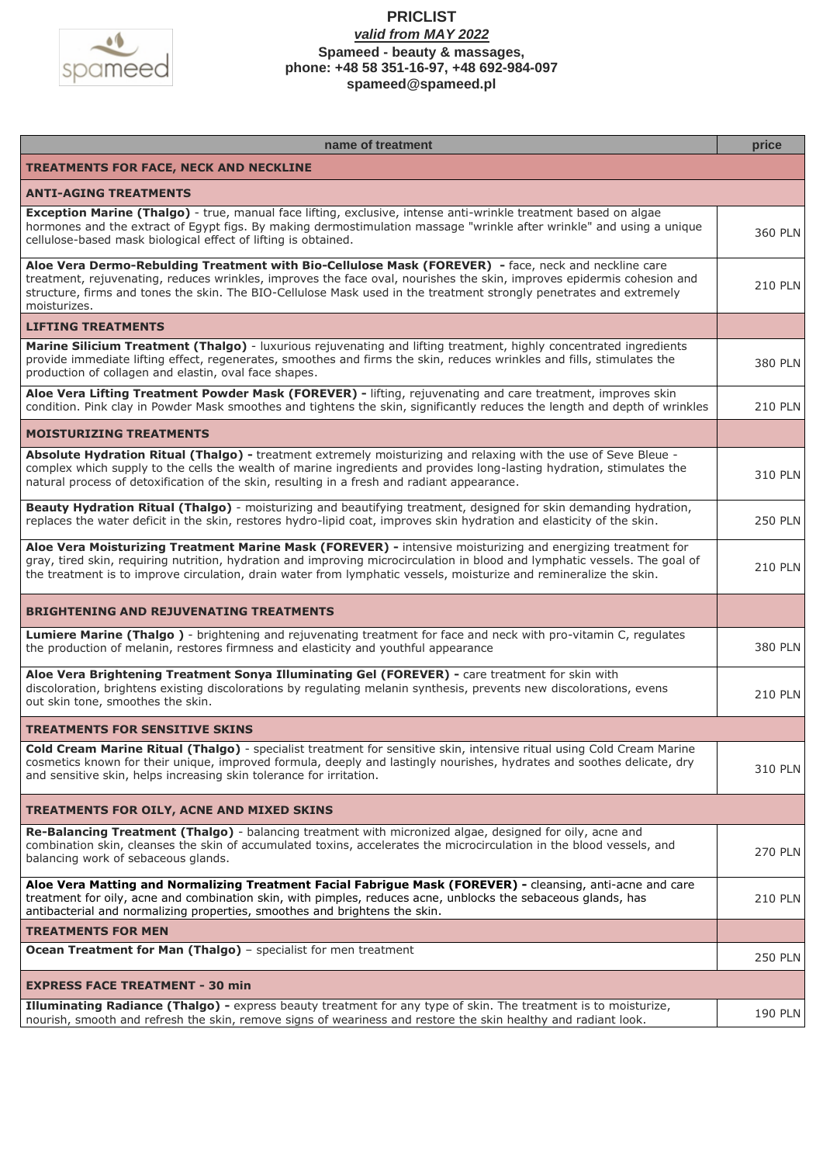

| name of treatment                                                                                                                                                                                                                                                                                                                                                     | price          |
|-----------------------------------------------------------------------------------------------------------------------------------------------------------------------------------------------------------------------------------------------------------------------------------------------------------------------------------------------------------------------|----------------|
| <b>TREATMENTS FOR FACE, NECK AND NECKLINE</b>                                                                                                                                                                                                                                                                                                                         |                |
| <b>ANTI-AGING TREATMENTS</b>                                                                                                                                                                                                                                                                                                                                          |                |
| Exception Marine (Thalgo) - true, manual face lifting, exclusive, intense anti-wrinkle treatment based on algae<br>hormones and the extract of Egypt figs. By making dermostimulation massage "wrinkle after wrinkle" and using a unique<br>cellulose-based mask biological effect of lifting is obtained.                                                            | 360 PLN        |
| Aloe Vera Dermo-Rebulding Treatment with Bio-Cellulose Mask (FOREVER) - face, neck and neckline care<br>treatment, rejuvenating, reduces wrinkles, improves the face oval, nourishes the skin, improves epidermis cohesion and<br>structure, firms and tones the skin. The BIO-Cellulose Mask used in the treatment strongly penetrates and extremely<br>moisturizes. | <b>210 PLN</b> |
| <b>LIFTING TREATMENTS</b>                                                                                                                                                                                                                                                                                                                                             |                |
| Marine Silicium Treatment (Thalgo) - luxurious rejuvenating and lifting treatment, highly concentrated ingredients<br>provide immediate lifting effect, regenerates, smoothes and firms the skin, reduces wrinkles and fills, stimulates the<br>production of collagen and elastin, oval face shapes.                                                                 |                |
| Aloe Vera Lifting Treatment Powder Mask (FOREVER) - lifting, rejuvenating and care treatment, improves skin<br>condition. Pink clay in Powder Mask smoothes and tightens the skin, significantly reduces the length and depth of wrinkles                                                                                                                             | 210 PLN        |
| <b>MOISTURIZING TREATMENTS</b>                                                                                                                                                                                                                                                                                                                                        |                |
| Absolute Hydration Ritual (Thalgo) - treatment extremely moisturizing and relaxing with the use of Seve Bleue -<br>complex which supply to the cells the wealth of marine ingredients and provides long-lasting hydration, stimulates the<br>natural process of detoxification of the skin, resulting in a fresh and radiant appearance.                              | 310 PLN        |
| Beauty Hydration Ritual (Thalgo) - moisturizing and beautifying treatment, designed for skin demanding hydration,<br>replaces the water deficit in the skin, restores hydro-lipid coat, improves skin hydration and elasticity of the skin.                                                                                                                           |                |
| Aloe Vera Moisturizing Treatment Marine Mask (FOREVER) - intensive moisturizing and energizing treatment for<br>gray, tired skin, requiring nutrition, hydration and improving microcirculation in blood and lymphatic vessels. The goal of<br>the treatment is to improve circulation, drain water from lymphatic vessels, moisturize and remineralize the skin.     |                |
| <b>BRIGHTENING AND REJUVENATING TREATMENTS</b>                                                                                                                                                                                                                                                                                                                        |                |
| Lumiere Marine (Thalgo) - brightening and rejuvenating treatment for face and neck with pro-vitamin C, regulates<br>the production of melanin, restores firmness and elasticity and youthful appearance                                                                                                                                                               |                |
| Aloe Vera Brightening Treatment Sonya Illuminating Gel (FOREVER) - care treatment for skin with<br>discoloration, brightens existing discolorations by regulating melanin synthesis, prevents new discolorations, evens<br>out skin tone, smoothes the skin.                                                                                                          |                |
| <b>TREATMENTS FOR SENSITIVE SKINS</b>                                                                                                                                                                                                                                                                                                                                 |                |
| Cold Cream Marine Ritual (Thalgo) - specialist treatment for sensitive skin, intensive ritual using Cold Cream Marine<br>cosmetics known for their unique, improved formula, deeply and lastingly nourishes, hydrates and soothes delicate, dry<br>and sensitive skin, helps increasing skin tolerance for irritation.                                                | 310 PLN        |
| TREATMENTS FOR OILY, ACNE AND MIXED SKINS                                                                                                                                                                                                                                                                                                                             |                |
| Re-Balancing Treatment (Thalgo) - balancing treatment with micronized algae, designed for oily, acne and<br>combination skin, cleanses the skin of accumulated toxins, accelerates the microcirculation in the blood vessels, and<br>balancing work of sebaceous glands.                                                                                              | 270 PLN        |
| Aloe Vera Matting and Normalizing Treatment Facial Fabrigue Mask (FOREVER) - cleansing, anti-acne and care<br>treatment for oily, acne and combination skin, with pimples, reduces acne, unblocks the sebaceous glands, has<br>antibacterial and normalizing properties, smoothes and brightens the skin.                                                             | <b>210 PLN</b> |
| <b>TREATMENTS FOR MEN</b>                                                                                                                                                                                                                                                                                                                                             |                |
| Ocean Treatment for Man (Thalgo) - specialist for men treatment                                                                                                                                                                                                                                                                                                       | <b>250 PLN</b> |
| <b>EXPRESS FACE TREATMENT - 30 min</b>                                                                                                                                                                                                                                                                                                                                |                |
| Illuminating Radiance (Thalgo) - express beauty treatment for any type of skin. The treatment is to moisturize,<br>nourish, smooth and refresh the skin, remove signs of weariness and restore the skin healthy and radiant look.                                                                                                                                     | 190 PLN        |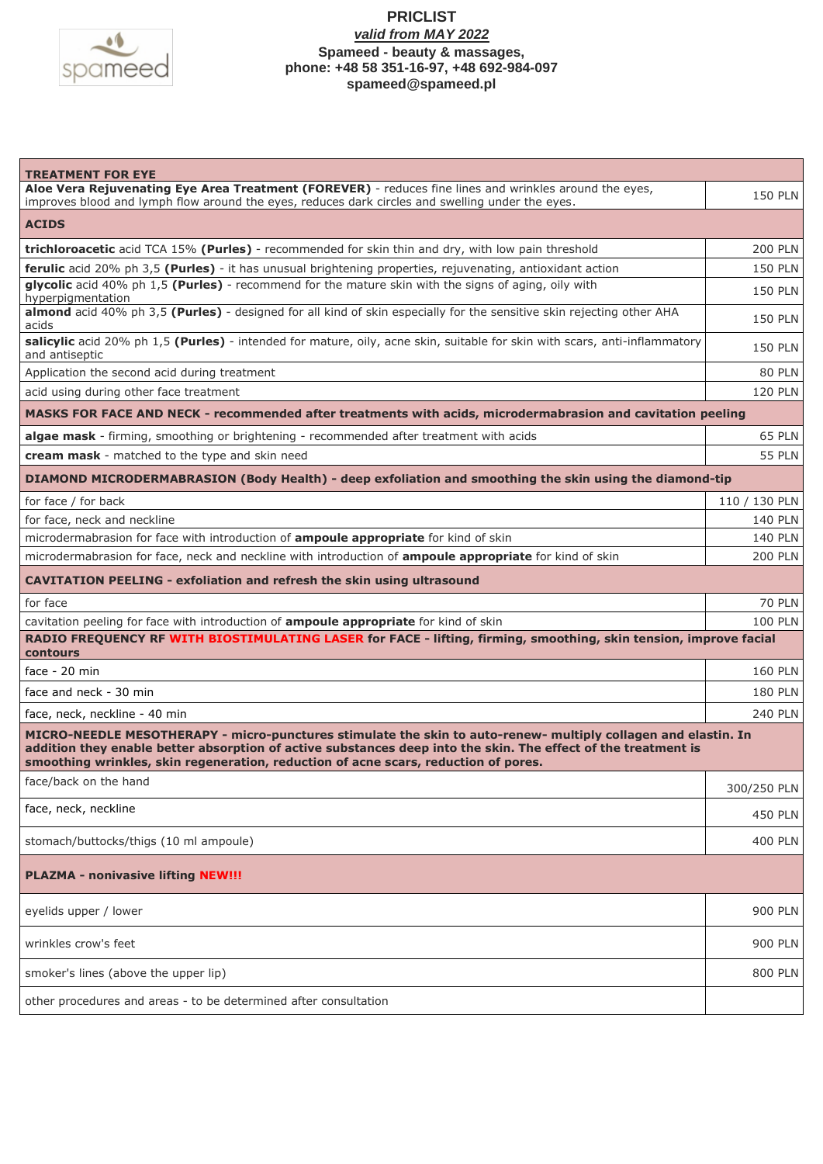

| <b>TREATMENT FOR EYE</b>                                                                                                                                                                                                                                                                                                |                |  |
|-------------------------------------------------------------------------------------------------------------------------------------------------------------------------------------------------------------------------------------------------------------------------------------------------------------------------|----------------|--|
| Aloe Vera Rejuvenating Eye Area Treatment (FOREVER) - reduces fine lines and wrinkles around the eyes,<br>improves blood and lymph flow around the eyes, reduces dark circles and swelling under the eyes.                                                                                                              | <b>150 PLN</b> |  |
| <b>ACIDS</b>                                                                                                                                                                                                                                                                                                            |                |  |
|                                                                                                                                                                                                                                                                                                                         |                |  |
| trichloroacetic acid TCA 15% (Purles) - recommended for skin thin and dry, with low pain threshold                                                                                                                                                                                                                      | <b>200 PLN</b> |  |
| ferulic acid 20% ph 3,5 (Purles) - it has unusual brightening properties, rejuvenating, antioxidant action<br>glycolic acid 40% ph 1,5 (Purles) - recommend for the mature skin with the signs of aging, oily with                                                                                                      | <b>150 PLN</b> |  |
| hyperpigmentation                                                                                                                                                                                                                                                                                                       | <b>150 PLN</b> |  |
| almond acid 40% ph 3,5 (Purles) - designed for all kind of skin especially for the sensitive skin rejecting other AHA<br>acids                                                                                                                                                                                          | <b>150 PLN</b> |  |
| salicylic acid 20% ph 1,5 (Purles) - intended for mature, oily, acne skin, suitable for skin with scars, anti-inflammatory<br>and antiseptic                                                                                                                                                                            | 150 PLN        |  |
| Application the second acid during treatment                                                                                                                                                                                                                                                                            | <b>80 PLN</b>  |  |
| acid using during other face treatment                                                                                                                                                                                                                                                                                  | <b>120 PLN</b> |  |
| MASKS FOR FACE AND NECK - recommended after treatments with acids, microdermabrasion and cavitation peeling                                                                                                                                                                                                             |                |  |
| algae mask - firming, smoothing or brightening - recommended after treatment with acids                                                                                                                                                                                                                                 | <b>65 PLN</b>  |  |
| cream mask - matched to the type and skin need                                                                                                                                                                                                                                                                          | <b>55 PLN</b>  |  |
| DIAMOND MICRODERMABRASION (Body Health) - deep exfoliation and smoothing the skin using the diamond-tip                                                                                                                                                                                                                 |                |  |
| for face / for back                                                                                                                                                                                                                                                                                                     | 110 / 130 PLN  |  |
| for face, neck and neckline                                                                                                                                                                                                                                                                                             | 140 PLN        |  |
| microdermabrasion for face with introduction of <b>ampoule appropriate</b> for kind of skin                                                                                                                                                                                                                             | 140 PLN        |  |
| microdermabrasion for face, neck and neckline with introduction of <b>ampoule appropriate</b> for kind of skin                                                                                                                                                                                                          | <b>200 PLN</b> |  |
| <b>CAVITATION PEELING - exfoliation and refresh the skin using ultrasound</b>                                                                                                                                                                                                                                           |                |  |
| for face                                                                                                                                                                                                                                                                                                                | <b>70 PLN</b>  |  |
| cavitation peeling for face with introduction of ampoule appropriate for kind of skin                                                                                                                                                                                                                                   | <b>100 PLN</b> |  |
| RADIO FREQUENCY RF WITH BIOSTIMULATING LASER for FACE - lifting, firming, smoothing, skin tension, improve facial<br>contours                                                                                                                                                                                           |                |  |
| face $-20$ min                                                                                                                                                                                                                                                                                                          | <b>160 PLN</b> |  |
| face and neck - 30 min                                                                                                                                                                                                                                                                                                  | <b>180 PLN</b> |  |
| face, neck, neckline - 40 min                                                                                                                                                                                                                                                                                           | <b>240 PLN</b> |  |
| MICRO-NEEDLE MESOTHERAPY - micro-punctures stimulate the skin to auto-renew- multiply collagen and elastin. In<br>addition they enable better absorption of active substances deep into the skin. The effect of the treatment is<br>smoothing wrinkles, skin regeneration, reduction of acne scars, reduction of pores. |                |  |
| face/back on the hand                                                                                                                                                                                                                                                                                                   | 300/250 PLN    |  |
| face, neck, neckline                                                                                                                                                                                                                                                                                                    | 450 PLN        |  |
| stomach/buttocks/thigs (10 ml ampoule)                                                                                                                                                                                                                                                                                  | 400 PLN        |  |
| <b>PLAZMA - nonivasive lifting NEW!!!</b>                                                                                                                                                                                                                                                                               |                |  |
| eyelids upper / lower                                                                                                                                                                                                                                                                                                   | <b>900 PLN</b> |  |
| wrinkles crow's feet                                                                                                                                                                                                                                                                                                    | <b>900 PLN</b> |  |
| smoker's lines (above the upper lip)                                                                                                                                                                                                                                                                                    | 800 PLN        |  |
| other procedures and areas - to be determined after consultation                                                                                                                                                                                                                                                        |                |  |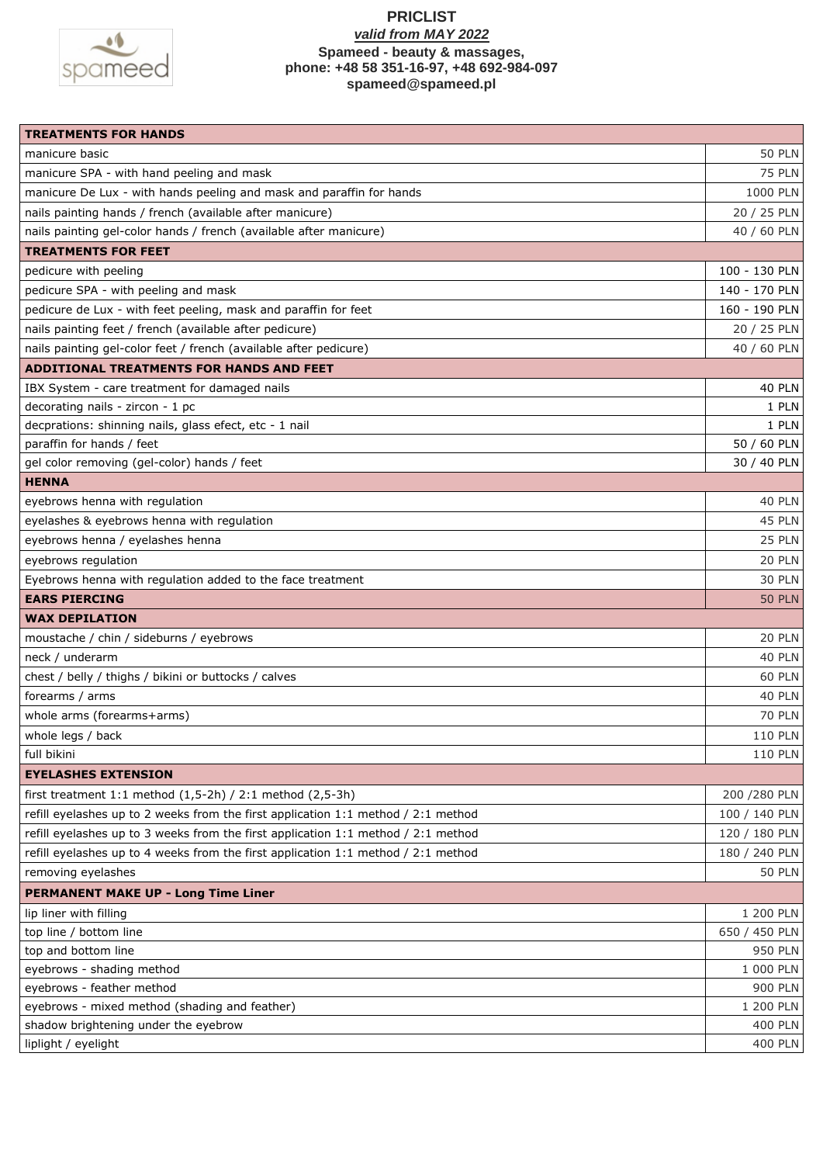

| <b>TREATMENTS FOR HANDS</b>                                                           |                |
|---------------------------------------------------------------------------------------|----------------|
| manicure basic                                                                        | <b>50 PLN</b>  |
| manicure SPA - with hand peeling and mask                                             | <b>75 PLN</b>  |
| manicure De Lux - with hands peeling and mask and paraffin for hands                  | 1000 PLN       |
| nails painting hands / french (available after manicure)                              | 20 / 25 PLN    |
| nails painting gel-color hands / french (available after manicure)                    | 40 / 60 PLN    |
| <b>TREATMENTS FOR FEET</b>                                                            |                |
| pedicure with peeling                                                                 | 100 - 130 PLN  |
| pedicure SPA - with peeling and mask                                                  | 140 - 170 PLN  |
| pedicure de Lux - with feet peeling, mask and paraffin for feet                       | 160 - 190 PLN  |
| nails painting feet / french (available after pedicure)                               | 20 / 25 PLN    |
| nails painting gel-color feet / french (available after pedicure)                     | 40 / 60 PLN    |
| ADDITIONAL TREATMENTS FOR HANDS AND FEET                                              |                |
| IBX System - care treatment for damaged nails                                         | <b>40 PLN</b>  |
| decorating nails - zircon - 1 pc                                                      | 1 PLN          |
| decprations: shinning nails, glass efect, etc - 1 nail                                | 1 PLN          |
| paraffin for hands / feet                                                             | 50 / 60 PLN    |
| gel color removing (gel-color) hands / feet                                           | 30 / 40 PLN    |
| <b>HENNA</b>                                                                          |                |
| eyebrows henna with regulation                                                        | <b>40 PLN</b>  |
| eyelashes & eyebrows henna with regulation                                            | 45 PLN         |
| eyebrows henna / eyelashes henna                                                      | 25 PLN         |
| eyebrows regulation                                                                   | 20 PLN         |
| Eyebrows henna with regulation added to the face treatment                            | <b>30 PLN</b>  |
| <b>EARS PIERCING</b>                                                                  | <b>50 PLN</b>  |
| <b>WAX DEPILATION</b>                                                                 |                |
| moustache / chin / sideburns / eyebrows                                               | 20 PLN         |
| neck / underarm                                                                       | 40 PLN         |
| chest / belly / thighs / bikini or buttocks / calves                                  | 60 PLN         |
| forearms / arms                                                                       | <b>40 PLN</b>  |
| whole arms (forearms+arms)                                                            | <b>70 PLN</b>  |
| whole legs / back                                                                     | 110 PLN        |
| full bikini                                                                           | <b>110 PLN</b> |
| <b>EYELASHES EXTENSION</b>                                                            |                |
| first treatment $1:1$ method $(1,5-2h)$ / $2:1$ method $(2,5-3h)$                     | 200 / 280 PLN  |
| refill eyelashes up to 2 weeks from the first application 1:1 method / 2:1 method     | 100 / 140 PLN  |
| refill eyelashes up to 3 weeks from the first application 1:1 method / 2:1 method     | 120 / 180 PLN  |
| refill eyelashes up to 4 weeks from the first application $1:1$ method / $2:1$ method | 180 / 240 PLN  |
| removing eyelashes                                                                    | <b>50 PLN</b>  |
| <b>PERMANENT MAKE UP - Long Time Liner</b>                                            |                |
| lip liner with filling                                                                | 1 200 PLN      |
| top line / bottom line                                                                | 650 / 450 PLN  |
| top and bottom line                                                                   | 950 PLN        |
| eyebrows - shading method                                                             | 1 000 PLN      |
| eyebrows - feather method                                                             | 900 PLN        |
| eyebrows - mixed method (shading and feather)                                         | 1 200 PLN      |
| shadow brightening under the eyebrow                                                  | 400 PLN        |
| liplight / eyelight                                                                   | 400 PLN        |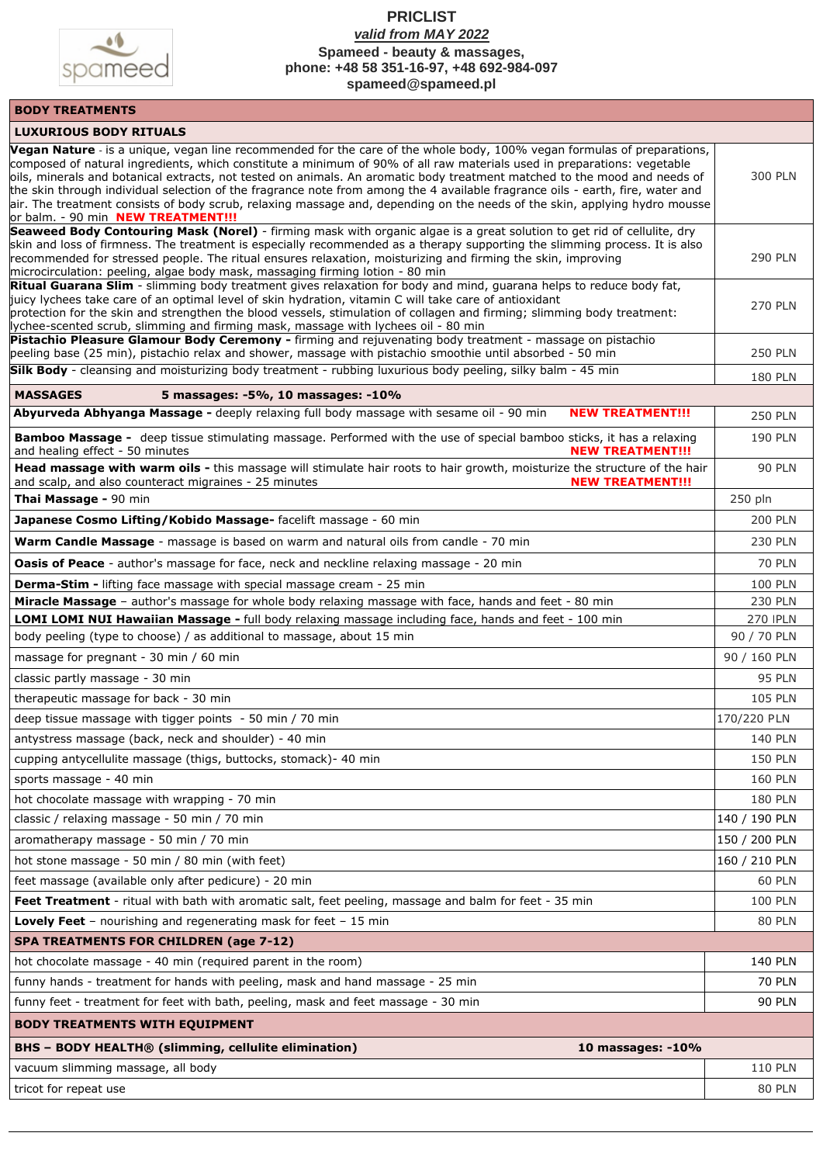

## **PRICLIST**  *valid from MAY 2022*

**Spameed - beauty & massages, phone: +48 58 351-16-97, +48 692-984-097**

**[spameed@spameed.pl](mailto:spameed@spameed.pl)**

# **BODY TREATMENTS**

| <b>LUXURIOUS BODY RITUALS</b>                                                                                                                                                                                                                                                                                                                                                                                                                                                                                                                                                                                                                                                         |                |
|---------------------------------------------------------------------------------------------------------------------------------------------------------------------------------------------------------------------------------------------------------------------------------------------------------------------------------------------------------------------------------------------------------------------------------------------------------------------------------------------------------------------------------------------------------------------------------------------------------------------------------------------------------------------------------------|----------------|
| Vegan Nature - is a unique, vegan line recommended for the care of the whole body, 100% vegan formulas of preparations,<br>composed of natural ingredients, which constitute a minimum of 90% of all raw materials used in preparations: vegetable<br>oils, minerals and botanical extracts, not tested on animals. An aromatic body treatment matched to the mood and needs of<br>the skin through individual selection of the fragrance note from among the 4 available fragrance oils - earth, fire, water and<br>air. The treatment consists of body scrub, relaxing massage and, depending on the needs of the skin, applying hydro mousse<br>or balm. - 90 min NEW TREATMENT!!! | <b>300 PLN</b> |
| Seaweed Body Contouring Mask (Norel) - firming mask with organic algae is a great solution to get rid of cellulite, dry<br>skin and loss of firmness. The treatment is especially recommended as a therapy supporting the slimming process. It is also<br>recommended for stressed people. The ritual ensures relaxation, moisturizing and firming the skin, improving<br>microcirculation: peeling, algae body mask, massaging firming lotion - 80 min                                                                                                                                                                                                                               | <b>290 PLN</b> |
| Ritual Guarana Slim - slimming body treatment gives relaxation for body and mind, guarana helps to reduce body fat,<br>juicy lychees take care of an optimal level of skin hydration, vitamin C will take care of antioxidant<br>protection for the skin and strengthen the blood vessels, stimulation of collagen and firming; slimming body treatment:<br>lychee-scented scrub, slimming and firming mask, massage with lychees oil - 80 min                                                                                                                                                                                                                                        | <b>270 PLN</b> |
| Pistachio Pleasure Glamour Body Ceremony - firming and rejuvenating body treatment - massage on pistachio<br>peeling base (25 min), pistachio relax and shower, massage with pistachio smoothie until absorbed - 50 min                                                                                                                                                                                                                                                                                                                                                                                                                                                               | <b>250 PLN</b> |
| Silk Body - cleansing and moisturizing body treatment - rubbing luxurious body peeling, silky balm - 45 min                                                                                                                                                                                                                                                                                                                                                                                                                                                                                                                                                                           | <b>180 PLN</b> |
| 5 massages: -5%, 10 massages: -10%<br><b>MASSAGES</b>                                                                                                                                                                                                                                                                                                                                                                                                                                                                                                                                                                                                                                 |                |
| Abyurveda Abhyanga Massage - deeply relaxing full body massage with sesame oil - 90 min<br><b>NEW TREATMENT!!!</b>                                                                                                                                                                                                                                                                                                                                                                                                                                                                                                                                                                    | <b>250 PLN</b> |
| Bamboo Massage - deep tissue stimulating massage. Performed with the use of special bamboo sticks, it has a relaxing<br>and healing effect - 50 minutes<br><b>NEW TREATMENT!!!</b>                                                                                                                                                                                                                                                                                                                                                                                                                                                                                                    | <b>190 PLN</b> |
| Head massage with warm oils - this massage will stimulate hair roots to hair growth, moisturize the structure of the hair<br>and scalp, and also counteract migraines - 25 minutes<br><b>NEW TREATMENT!!!</b>                                                                                                                                                                                                                                                                                                                                                                                                                                                                         | <b>90 PLN</b>  |
| Thai Massage - 90 min                                                                                                                                                                                                                                                                                                                                                                                                                                                                                                                                                                                                                                                                 | 250 pln        |
| Japanese Cosmo Lifting/Kobido Massage- facelift massage - 60 min                                                                                                                                                                                                                                                                                                                                                                                                                                                                                                                                                                                                                      | <b>200 PLN</b> |
| Warm Candle Massage - massage is based on warm and natural oils from candle - 70 min                                                                                                                                                                                                                                                                                                                                                                                                                                                                                                                                                                                                  | <b>230 PLN</b> |
| <b>Oasis of Peace</b> - author's massage for face, neck and neckline relaxing massage - 20 min                                                                                                                                                                                                                                                                                                                                                                                                                                                                                                                                                                                        | <b>70 PLN</b>  |
| <b>Derma-Stim - lifting face massage with special massage cream - 25 min</b>                                                                                                                                                                                                                                                                                                                                                                                                                                                                                                                                                                                                          | <b>100 PLN</b> |
| Miracle Massage - author's massage for whole body relaxing massage with face, hands and feet - 80 min                                                                                                                                                                                                                                                                                                                                                                                                                                                                                                                                                                                 | <b>230 PLN</b> |
| LOMI LOMI NUI Hawaiian Massage - full body relaxing massage including face, hands and feet - 100 min                                                                                                                                                                                                                                                                                                                                                                                                                                                                                                                                                                                  | 270   PLN      |
| body peeling (type to choose) / as additional to massage, about 15 min                                                                                                                                                                                                                                                                                                                                                                                                                                                                                                                                                                                                                | 90 / 70 PLN    |
| massage for pregnant - 30 min / 60 min                                                                                                                                                                                                                                                                                                                                                                                                                                                                                                                                                                                                                                                | 90 / 160 PLN   |
| classic partly massage - 30 min                                                                                                                                                                                                                                                                                                                                                                                                                                                                                                                                                                                                                                                       | <b>95 PLN</b>  |
| therapeutic massage for back - 30 min                                                                                                                                                                                                                                                                                                                                                                                                                                                                                                                                                                                                                                                 | <b>105 PLN</b> |
| deep tissue massage with tigger points - 50 min / 70 min                                                                                                                                                                                                                                                                                                                                                                                                                                                                                                                                                                                                                              | 170/220 PLN    |
| antystress massage (back, neck and shoulder) - 40 min                                                                                                                                                                                                                                                                                                                                                                                                                                                                                                                                                                                                                                 | <b>140 PLN</b> |
| cupping antycellulite massage (thigs, buttocks, stomack) - 40 min                                                                                                                                                                                                                                                                                                                                                                                                                                                                                                                                                                                                                     | <b>150 PLN</b> |
| sports massage - 40 min                                                                                                                                                                                                                                                                                                                                                                                                                                                                                                                                                                                                                                                               | <b>160 PLN</b> |
| hot chocolate massage with wrapping - 70 min                                                                                                                                                                                                                                                                                                                                                                                                                                                                                                                                                                                                                                          | <b>180 PLN</b> |
| classic / relaxing massage - 50 min / 70 min                                                                                                                                                                                                                                                                                                                                                                                                                                                                                                                                                                                                                                          | 140 / 190 PLN  |
| aromatherapy massage - 50 min / 70 min                                                                                                                                                                                                                                                                                                                                                                                                                                                                                                                                                                                                                                                | 150 / 200 PLN  |
| hot stone massage - 50 min / 80 min (with feet)                                                                                                                                                                                                                                                                                                                                                                                                                                                                                                                                                                                                                                       | 160 / 210 PLN  |
| feet massage (available only after pedicure) - 20 min                                                                                                                                                                                                                                                                                                                                                                                                                                                                                                                                                                                                                                 | <b>60 PLN</b>  |
| Feet Treatment - ritual with bath with aromatic salt, feet peeling, massage and balm for feet - 35 min                                                                                                                                                                                                                                                                                                                                                                                                                                                                                                                                                                                | <b>100 PLN</b> |
| <b>Lovely Feet</b> – nourishing and regenerating mask for feet – 15 min                                                                                                                                                                                                                                                                                                                                                                                                                                                                                                                                                                                                               | <b>80 PLN</b>  |
| <b>SPA TREATMENTS FOR CHILDREN (age 7-12)</b>                                                                                                                                                                                                                                                                                                                                                                                                                                                                                                                                                                                                                                         |                |
| hot chocolate massage - 40 min (required parent in the room)                                                                                                                                                                                                                                                                                                                                                                                                                                                                                                                                                                                                                          | 140 PLN        |
| funny hands - treatment for hands with peeling, mask and hand massage - 25 min                                                                                                                                                                                                                                                                                                                                                                                                                                                                                                                                                                                                        | <b>70 PLN</b>  |
| funny feet - treatment for feet with bath, peeling, mask and feet massage - 30 min                                                                                                                                                                                                                                                                                                                                                                                                                                                                                                                                                                                                    | <b>90 PLN</b>  |
| <b>BODY TREATMENTS WITH EQUIPMENT</b>                                                                                                                                                                                                                                                                                                                                                                                                                                                                                                                                                                                                                                                 |                |
| <b>BHS - BODY HEALTH<sup>®</sup> (slimming, cellulite elimination)</b><br>10 massages: $-10%$                                                                                                                                                                                                                                                                                                                                                                                                                                                                                                                                                                                         |                |
| vacuum slimming massage, all body                                                                                                                                                                                                                                                                                                                                                                                                                                                                                                                                                                                                                                                     | <b>110 PLN</b> |
| tricot for repeat use                                                                                                                                                                                                                                                                                                                                                                                                                                                                                                                                                                                                                                                                 | <b>80 PLN</b>  |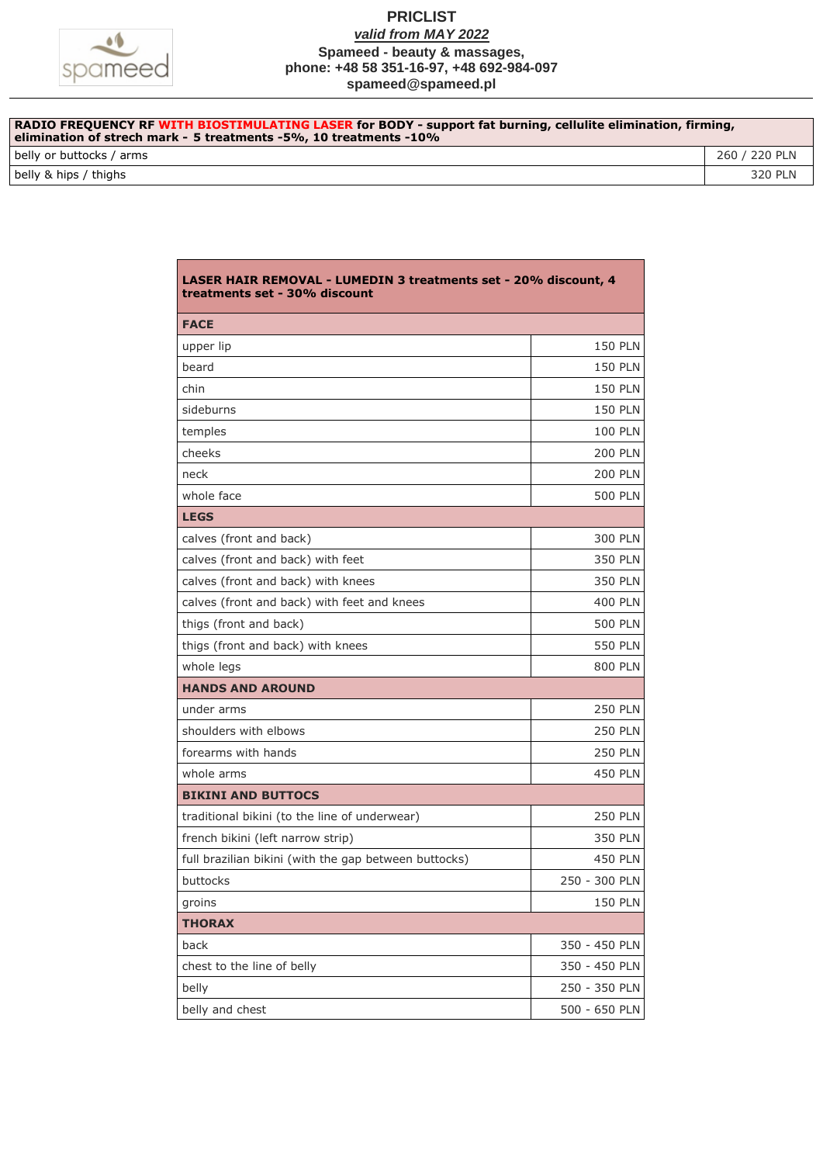

| RADIO FREQUENCY RF WITH BIOSTIMULATING LASER for BODY - support fat burning, cellulite elimination, firming,<br>elimination of strech mark - 5 treatments -5%, 10 treatments -10% |               |
|-----------------------------------------------------------------------------------------------------------------------------------------------------------------------------------|---------------|
| belly or buttocks / arms                                                                                                                                                          | 260 / 220 PLN |
| belly & hips / thighs                                                                                                                                                             | 320 PLN       |

| <b>LASER HAIR REMOVAL - LUMEDIN 3 treatments set - 20% discount, 4</b><br>treatments set - 30% discount |                |  |
|---------------------------------------------------------------------------------------------------------|----------------|--|
| <b>FACE</b>                                                                                             |                |  |
| upper lip                                                                                               | <b>150 PLN</b> |  |
| beard                                                                                                   | <b>150 PLN</b> |  |
| chin                                                                                                    | <b>150 PLN</b> |  |
| sideburns                                                                                               | <b>150 PLN</b> |  |
| temples                                                                                                 | <b>100 PLN</b> |  |
| cheeks                                                                                                  | <b>200 PLN</b> |  |
| neck                                                                                                    | <b>200 PLN</b> |  |
| whole face                                                                                              | <b>500 PLN</b> |  |
| <b>LEGS</b>                                                                                             |                |  |
| calves (front and back)                                                                                 | 300 PLN        |  |
| calves (front and back) with feet                                                                       | 350 PLN        |  |
| calves (front and back) with knees                                                                      | 350 PLN        |  |
| calves (front and back) with feet and knees                                                             | 400 PLN        |  |
| thigs (front and back)                                                                                  | 500 PLN        |  |
| thigs (front and back) with knees                                                                       | <b>550 PLN</b> |  |
| whole legs                                                                                              | <b>800 PLN</b> |  |
| <b>HANDS AND AROUND</b>                                                                                 |                |  |
| under arms                                                                                              | <b>250 PLN</b> |  |
| shoulders with elbows                                                                                   | <b>250 PLN</b> |  |
| forearms with hands                                                                                     | <b>250 PLN</b> |  |
| whole arms                                                                                              | <b>450 PLN</b> |  |
| <b>BIKINI AND BUTTOCS</b>                                                                               |                |  |
| traditional bikini (to the line of underwear)                                                           | <b>250 PLN</b> |  |
| french bikini (left narrow strip)                                                                       | 350 PLN        |  |
| full brazilian bikini (with the gap between buttocks)                                                   | 450 PLN        |  |
| buttocks                                                                                                | 250 - 300 PLN  |  |
| groins                                                                                                  | <b>150 PLN</b> |  |
| <b>THORAX</b>                                                                                           |                |  |
| back                                                                                                    | 350 - 450 PLN  |  |
| chest to the line of belly                                                                              | 350 - 450 PLN  |  |
| belly                                                                                                   | 250 - 350 PLN  |  |
| belly and chest                                                                                         | 500 - 650 PLN  |  |